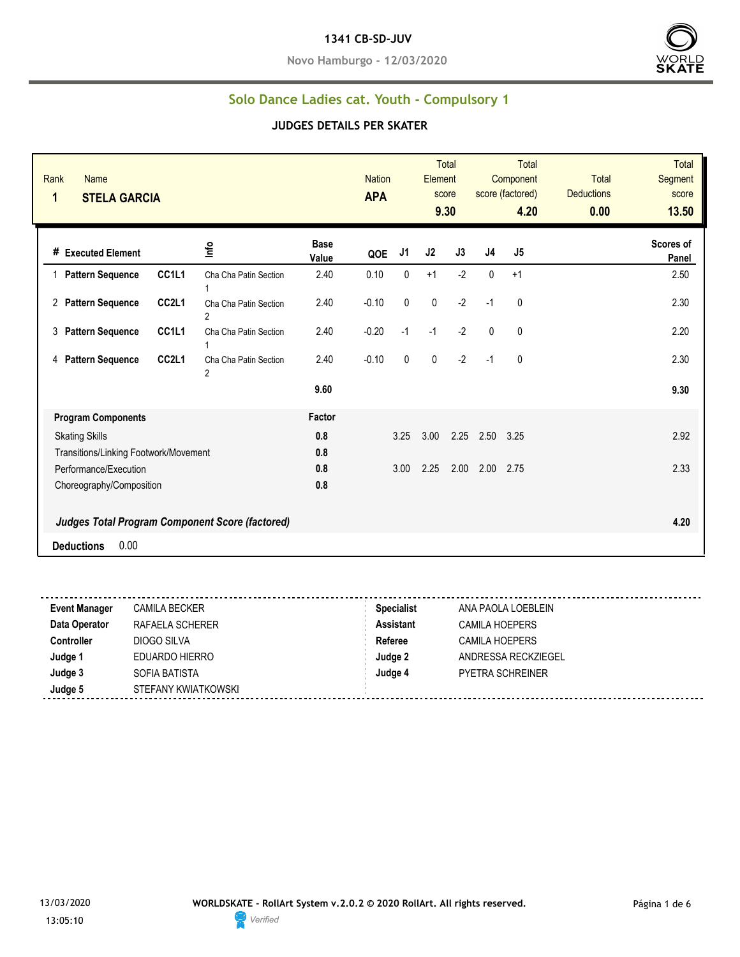**Novo Hamburgo - 12/03/2020**



### **Solo Dance Ladies cat. Youth - Compulsory 1**

| Rank<br><b>Name</b><br>1<br><b>STELA GARCIA</b>        |                                         |                      | <b>Nation</b><br><b>APA</b> |      | Element   | <b>Total</b><br>score<br>9.30 |                | <b>Total</b><br>Component<br>score (factored)<br>4.20 | <b>Total</b><br><b>Deductions</b><br>0.00 | <b>Total</b><br>Segment<br>score<br>13.50 |
|--------------------------------------------------------|-----------------------------------------|----------------------|-----------------------------|------|-----------|-------------------------------|----------------|-------------------------------------------------------|-------------------------------------------|-------------------------------------------|
| # Executed Element                                     | Info                                    | <b>Base</b><br>Value | QOE                         | J1   | J2        | J3                            | J <sub>4</sub> | J5                                                    |                                           | Scores of<br>Panel                        |
| CC1L1<br><b>Pattern Sequence</b>                       | Cha Cha Patin Section                   | 2.40                 | 0.10                        | 0    | $+1$      | $-2$                          | 0              | $+1$                                                  |                                           | 2.50                                      |
| CC2L1<br><b>Pattern Sequence</b><br>2                  | Cha Cha Patin Section<br>2              | 2.40                 | $-0.10$                     | 0    | $\pmb{0}$ | $-2$                          | $-1$           | 0                                                     |                                           | 2.30                                      |
| CC1L1<br><b>Pattern Sequence</b><br>3                  | Cha Cha Patin Section                   | 2.40                 | $-0.20$                     | $-1$ | $-1$      | $-2$                          | $\mathbf{0}$   | 0                                                     |                                           | 2.20                                      |
| CC <sub>2L1</sub><br><b>Pattern Sequence</b><br>4      | Cha Cha Patin Section<br>$\overline{2}$ | 2.40                 | $-0.10$                     | 0    | $\pmb{0}$ | $-2$                          | $-1$           | 0                                                     |                                           | 2.30                                      |
|                                                        |                                         | 9.60                 |                             |      |           |                               |                |                                                       |                                           | 9.30                                      |
| <b>Program Components</b>                              |                                         | Factor               |                             |      |           |                               |                |                                                       |                                           |                                           |
| <b>Skating Skills</b>                                  |                                         | 0.8                  |                             | 3.25 | 3.00      | 2.25                          | 2.50           | 3.25                                                  |                                           | 2.92                                      |
| Transitions/Linking Footwork/Movement                  |                                         | 0.8                  |                             |      |           |                               |                |                                                       |                                           |                                           |
| Performance/Execution                                  |                                         | 0.8                  |                             | 3.00 | 2.25      | 2.00                          | 2.00           | 2.75                                                  |                                           | 2.33                                      |
| Choreography/Composition                               |                                         | 0.8                  |                             |      |           |                               |                |                                                       |                                           |                                           |
| <b>Judges Total Program Component Score (factored)</b> |                                         |                      |                             |      |           |                               |                |                                                       |                                           | 4.20                                      |
| 0.00<br><b>Deductions</b>                              |                                         |                      |                             |      |           |                               |                |                                                       |                                           |                                           |

| <b>Specialist</b><br><b>Event Manager</b><br><b>CAMILA BECKER</b><br>ANA PAOLA LOEBLEIN |  |
|-----------------------------------------------------------------------------------------|--|
| Data Operator<br><b>Assistant</b><br>RAFAELA SCHERER<br>CAMILA HOEPERS                  |  |
| Referee<br><b>Controller</b><br>DIOGO SILVA<br>CAMILA HOEPERS                           |  |
| Judge 1<br>Judge 2<br>EDUARDO HIERRO<br>ANDRESSA RECKZIEGEL                             |  |
| Judge 3<br>Judge 4<br>SOFIA BATISTA<br><b>PYETRA SCHREINER</b>                          |  |
| Judge 5<br>STEFANY KWIATKOWSKI                                                          |  |

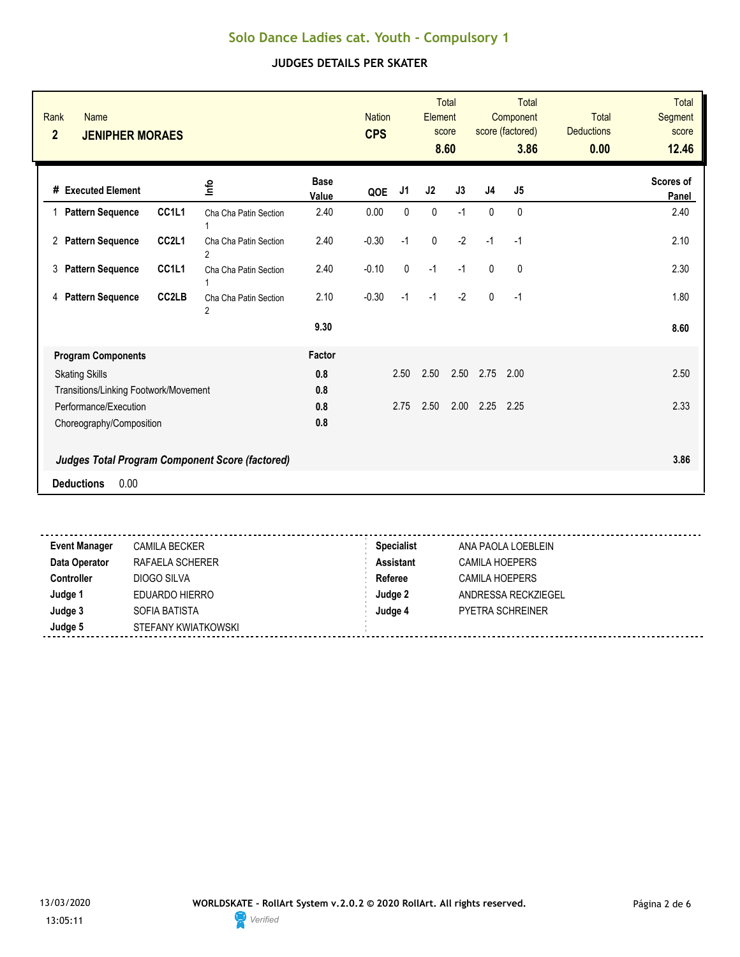| Rank<br><b>Name</b><br>$\overline{2}$<br><b>JENIPHER MORAES</b> |                                |                                                 |                      | <b>Nation</b><br><b>CPS</b> |                | Element   | <b>Total</b><br>score<br>8.60 |                | <b>Total</b><br>Component<br>score (factored)<br>3.86 | <b>Total</b><br><b>Deductions</b><br>0.00 | <b>Total</b><br>Segment<br>score<br>12.46 |
|-----------------------------------------------------------------|--------------------------------|-------------------------------------------------|----------------------|-----------------------------|----------------|-----------|-------------------------------|----------------|-------------------------------------------------------|-------------------------------------------|-------------------------------------------|
| # Executed Element                                              |                                | ۴ů                                              | <b>Base</b><br>Value | QOE                         | J <sub>1</sub> | J2        | J3                            | J <sub>4</sub> | J <sub>5</sub>                                        |                                           | Scores of<br>Panel                        |
| <b>Pattern Sequence</b><br>1                                    | CC <sub>1</sub> L <sub>1</sub> | Cha Cha Patin Section<br>1                      | 2.40                 | 0.00                        | 0              | $\pmb{0}$ | $-1$                          | 0              | 0                                                     |                                           | 2.40                                      |
| 2 Pattern Sequence                                              | CC2L1                          | Cha Cha Patin Section<br>2                      | 2.40                 | $-0.30$                     | $-1$           | $\pmb{0}$ | $-2$                          | $-1$           | $-1$                                                  |                                           | 2.10                                      |
| 3<br><b>Pattern Sequence</b>                                    | CC1L1                          | Cha Cha Patin Section<br>1                      | 2.40                 | $-0.10$                     | 0              | $-1$      | $-1$                          | $\mathbf{0}$   | 0                                                     |                                           | 2.30                                      |
| <b>Pattern Sequence</b><br>4                                    | CC <sub>2</sub> LB             | Cha Cha Patin Section<br>2                      | 2.10                 | $-0.30$                     | $-1$           | $-1$      | $-2$                          | $\mathbf{0}$   | $-1$                                                  |                                           | 1.80                                      |
|                                                                 |                                |                                                 | 9.30                 |                             |                |           |                               |                |                                                       |                                           | 8.60                                      |
| <b>Program Components</b>                                       |                                |                                                 | Factor               |                             |                |           |                               |                |                                                       |                                           |                                           |
| <b>Skating Skills</b>                                           |                                |                                                 | 0.8                  |                             | 2.50           | 2.50      | 2.50                          | 2.75           | 2.00                                                  |                                           | 2.50                                      |
| Transitions/Linking Footwork/Movement                           |                                |                                                 | 0.8                  |                             |                |           |                               |                |                                                       |                                           |                                           |
| Performance/Execution                                           |                                |                                                 | 0.8                  |                             | 2.75           | 2.50      | 2.00                          | 2.25           | 2.25                                                  |                                           | 2.33                                      |
| Choreography/Composition                                        |                                |                                                 | 0.8                  |                             |                |           |                               |                |                                                       |                                           |                                           |
|                                                                 |                                | Judges Total Program Component Score (factored) |                      |                             |                |           |                               |                |                                                       |                                           | 3.86                                      |
| 0.00<br><b>Deductions</b>                                       |                                |                                                 |                      |                             |                |           |                               |                |                                                       |                                           |                                           |
|                                                                 |                                |                                                 |                      |                             |                |           |                               |                |                                                       |                                           |                                           |

| <b>Event Manager</b> | <b>CAMILA BECKER</b> | <b>Specialist</b> | ANA PAOLA LOEBLEIN      |
|----------------------|----------------------|-------------------|-------------------------|
| Data Operator        | RAFAELA SCHERER      | <b>Assistant</b>  | <b>CAMILA HOEPERS</b>   |
| <b>Controller</b>    | DIOGO SILVA          | Referee           | <b>CAMILA HOEPERS</b>   |
| Judge 1              | EDUARDO HIERRO       | Judge 2           | ANDRESSA RECKZIEGEL     |
| Judge 3              | SOFIA BATISTA        | Judge 4           | <b>PYETRA SCHREINER</b> |
| Judge 5              | STEFANY KWIATKOWSKI  |                   |                         |
|                      |                      |                   |                         |

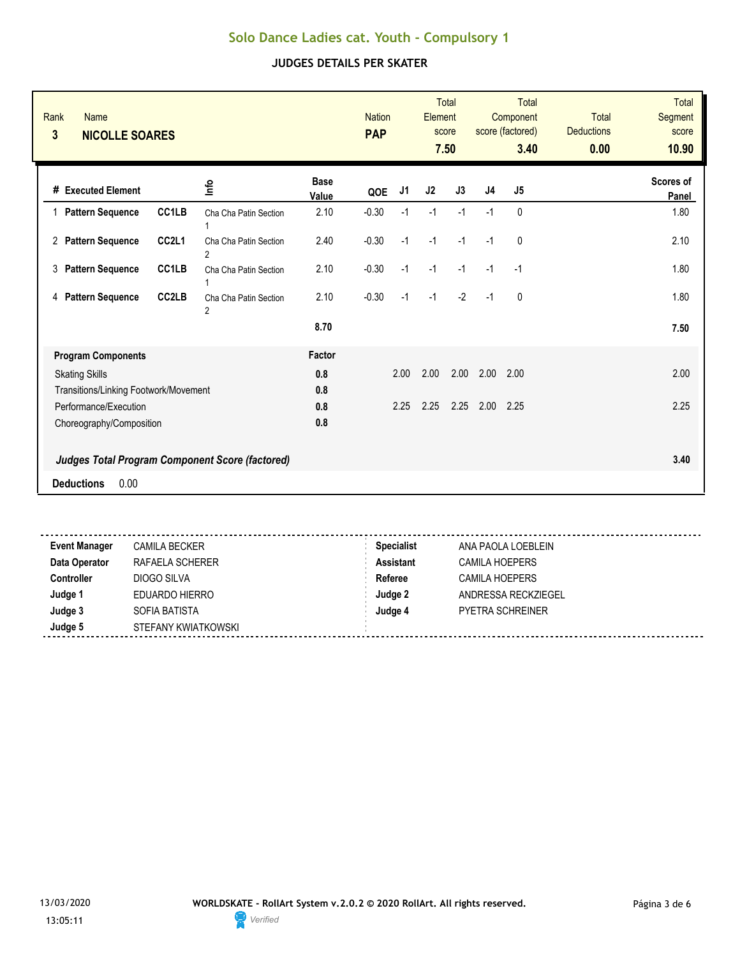| Rank<br><b>Name</b><br>3<br><b>NICOLLE SOARES</b> |                    |                                                        |                      | <b>Nation</b><br><b>PAP</b> |      | Element        | <b>Total</b><br>score<br>7.50 |                | Total<br>Component<br>score (factored)<br>3.40 | <b>Total</b><br><b>Deductions</b><br>0.00 | <b>Total</b><br><b>Segment</b><br>score<br>10.90 |
|---------------------------------------------------|--------------------|--------------------------------------------------------|----------------------|-----------------------------|------|----------------|-------------------------------|----------------|------------------------------------------------|-------------------------------------------|--------------------------------------------------|
| # Executed Element                                |                    | ۴ů                                                     | <b>Base</b><br>Value | QOE                         | J1   | J <sub>2</sub> | J3                            | J <sub>4</sub> | J5                                             |                                           | Scores of<br>Panel                               |
| 1 Pattern Sequence                                | CC1LB              | Cha Cha Patin Section                                  | 2.10                 | $-0.30$                     | $-1$ | $-1$           | $-1$                          | $-1$           | $\mathbf{0}$                                   |                                           | 1.80                                             |
| 2 Pattern Sequence                                | CC2L1              | Cha Cha Patin Section<br>$\overline{2}$                | 2.40                 | $-0.30$                     | $-1$ | $-1$           | $-1$                          | $-1$           | 0                                              |                                           | 2.10                                             |
| <b>Pattern Sequence</b><br>3                      | CC1LB              | Cha Cha Patin Section                                  | 2.10                 | $-0.30$                     | $-1$ | $-1$           | $-1$                          | $-1$           | $-1$                                           |                                           | 1.80                                             |
| <b>Pattern Sequence</b><br>4                      | CC <sub>2</sub> LB | Cha Cha Patin Section<br>$\overline{2}$                | 2.10                 | $-0.30$                     | $-1$ | $-1$           | $-2$                          | $-1$           | $\mathbf{0}$                                   |                                           | 1.80                                             |
|                                                   |                    |                                                        | 8.70                 |                             |      |                |                               |                |                                                |                                           | 7.50                                             |
| <b>Program Components</b>                         |                    |                                                        | Factor               |                             |      |                |                               |                |                                                |                                           |                                                  |
| <b>Skating Skills</b>                             |                    |                                                        | 0.8                  |                             | 2.00 | 2.00           | 2.00                          | 2.00           | 2.00                                           |                                           | 2.00                                             |
| Transitions/Linking Footwork/Movement             |                    |                                                        | 0.8                  |                             |      |                |                               |                |                                                |                                           |                                                  |
| Performance/Execution                             |                    |                                                        | 0.8                  |                             | 2.25 | 2.25           | 2.25                          | 2.00           | 2.25                                           |                                           | 2.25                                             |
| Choreography/Composition                          |                    |                                                        | 0.8                  |                             |      |                |                               |                |                                                |                                           |                                                  |
|                                                   |                    | <b>Judges Total Program Component Score (factored)</b> |                      |                             |      |                |                               |                |                                                |                                           | 3.40                                             |
| 0.00<br><b>Deductions</b>                         |                    |                                                        |                      |                             |      |                |                               |                |                                                |                                           |                                                  |
|                                                   |                    |                                                        |                      |                             |      |                |                               |                |                                                |                                           |                                                  |

| <b>Event Manager</b> | <b>CAMILA BECKER</b> | <b>Specialist</b> | ANA PAOLA LOEBLEIN      |  |
|----------------------|----------------------|-------------------|-------------------------|--|
| Data Operator        | RAFAELA SCHERER      | <b>Assistant</b>  | CAMILA HOEPERS          |  |
| Controller           | DIOGO SILVA          | Referee           | <b>CAMILA HOEPERS</b>   |  |
| Judge 1              | EDUARDO HIERRO       | Judge 2           | ANDRESSA RECKZIEGEL     |  |
| Judge 3              | SOFIA BATISTA        | Judge 4           | <b>PYETRA SCHREINER</b> |  |
| Judge 5              | STEFANY KWIATKOWSKI  |                   |                         |  |
|                      |                      |                   |                         |  |

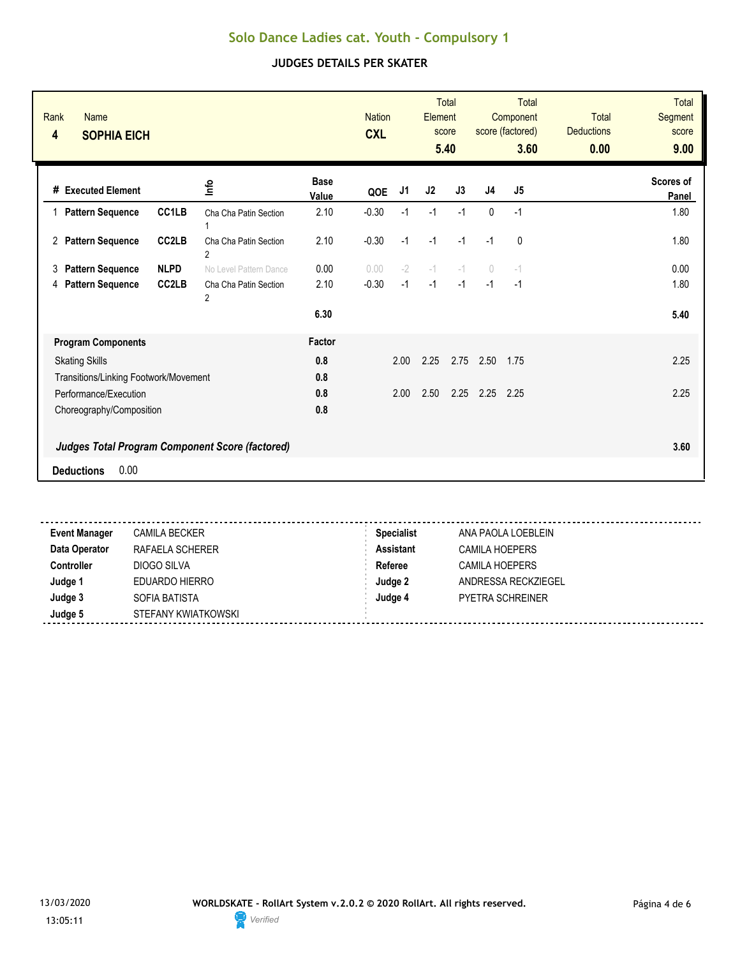| Rank<br><b>Name</b><br>4<br><b>SOPHIA EICH</b> |                    |                                                        |                      | <b>Nation</b><br><b>CXL</b> |      | Element        | <b>Total</b><br>score<br>5.40 |                                  | <b>Total</b><br>Component<br>score (factored)<br>3.60 | <b>Total</b><br><b>Deductions</b><br>0.00 | <b>Total</b><br><b>Segment</b><br>score<br>9.00 |
|------------------------------------------------|--------------------|--------------------------------------------------------|----------------------|-----------------------------|------|----------------|-------------------------------|----------------------------------|-------------------------------------------------------|-------------------------------------------|-------------------------------------------------|
| # Executed Element                             |                    | 울                                                      | <b>Base</b><br>Value | QOE                         | J1   | J <sub>2</sub> | J3                            | J <sub>4</sub>                   | J5                                                    |                                           | Scores of<br>Panel                              |
| <b>Pattern Sequence</b>                        | CC1LB              | Cha Cha Patin Section                                  | 2.10                 | $-0.30$                     | $-1$ | $-1$           | $-1$                          | $\mathbf{0}$                     | $-1$                                                  |                                           | 1.80                                            |
| 2 Pattern Sequence                             | CC2LB              | Cha Cha Patin Section<br>$\overline{2}$                | 2.10                 | $-0.30$                     | $-1$ | $-1$           | $-1$                          | $-1$                             | 0                                                     |                                           | 1.80                                            |
| <b>Pattern Sequence</b><br>3                   | <b>NLPD</b>        | No Level Pattern Dance                                 | 0.00                 | 0.00                        | $-2$ | $-1$           | $-1$                          | $\begin{array}{c} \n\end{array}$ | $-1$                                                  |                                           | 0.00                                            |
| <b>Pattern Sequence</b><br>4                   | CC <sub>2</sub> LB | Cha Cha Patin Section<br>$\overline{2}$                | 2.10                 | $-0.30$                     | $-1$ | $-1$           | $-1$                          | $-1$                             | $-1$                                                  |                                           | 1.80                                            |
|                                                |                    |                                                        | 6.30                 |                             |      |                |                               |                                  |                                                       |                                           | 5.40                                            |
| <b>Program Components</b>                      |                    |                                                        | Factor               |                             |      |                |                               |                                  |                                                       |                                           |                                                 |
| <b>Skating Skills</b>                          |                    |                                                        | 0.8                  |                             | 2.00 | 2.25           | 2.75                          | 2.50                             | 1.75                                                  |                                           | 2.25                                            |
| Transitions/Linking Footwork/Movement          |                    |                                                        | 0.8                  |                             |      |                |                               |                                  |                                                       |                                           |                                                 |
| Performance/Execution                          |                    |                                                        | 0.8                  |                             | 2.00 | 2.50           | 2.25                          | 2.25                             | 2.25                                                  |                                           | 2.25                                            |
| Choreography/Composition                       |                    |                                                        | 0.8                  |                             |      |                |                               |                                  |                                                       |                                           |                                                 |
|                                                |                    | <b>Judges Total Program Component Score (factored)</b> |                      |                             |      |                |                               |                                  |                                                       |                                           | 3.60                                            |
| 0.00<br><b>Deductions</b>                      |                    |                                                        |                      |                             |      |                |                               |                                  |                                                       |                                           |                                                 |
|                                                |                    |                                                        |                      |                             |      |                |                               |                                  |                                                       |                                           |                                                 |

| <b>Event Manager</b> | <b>CAMILA BECKER</b> | <b>Specialist</b> | ANA PAOLA LOEBLEIN      |  |
|----------------------|----------------------|-------------------|-------------------------|--|
| Data Operator        | RAFAELA SCHERER      | Assistant         | <b>CAMILA HOEPERS</b>   |  |
| Controller           | DIOGO SILVA          | Referee           | <b>CAMILA HOEPERS</b>   |  |
| Judge 1              | EDUARDO HIERRO       | Judge 2           | ANDRESSA RECKZIEGEL     |  |
| Judge 3              | SOFIA BATISTA        | Judge 4           | <b>PYETRA SCHREINER</b> |  |
| Judge 5              | STEFANY KWIATKOWSKI  |                   |                         |  |
|                      |                      |                   |                         |  |

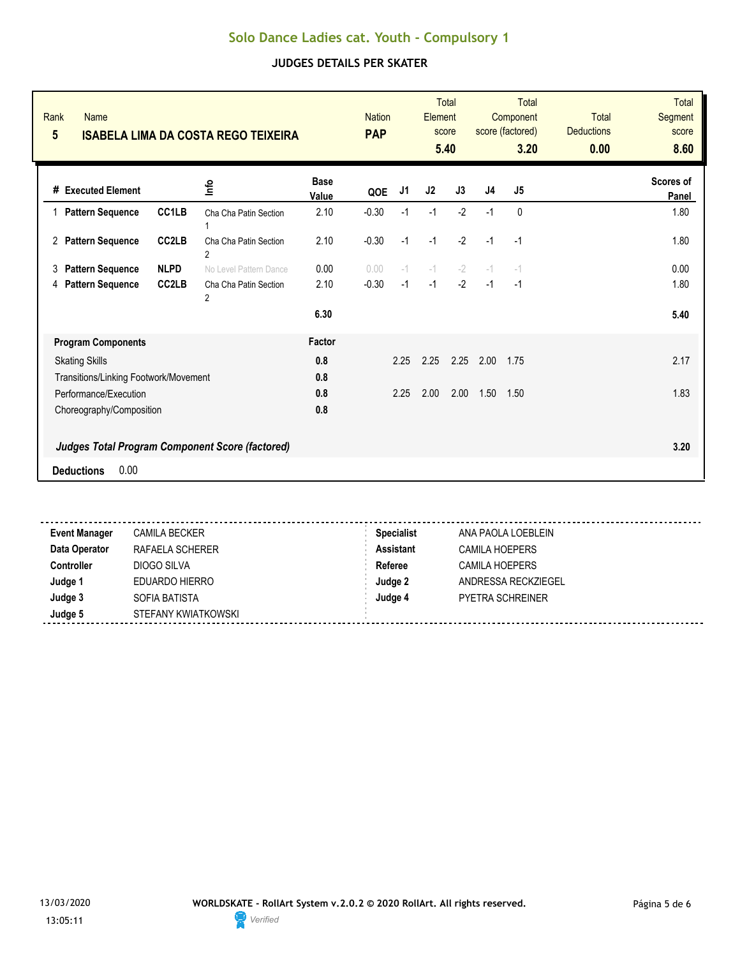| Rank<br><b>Name</b><br>$5\phantom{.0}$ |                    | <b>ISABELA LIMA DA COSTA REGO TEIXEIRA</b>             |                      | <b>Nation</b><br><b>PAP</b> |                | <b>Element</b> | <b>Total</b><br>score<br>5.40 |                | <b>Total</b><br>Component<br>score (factored)<br>3.20 | <b>Total</b><br><b>Deductions</b><br>0.00 | <b>Total</b><br>Segment<br>score<br>8.60 |
|----------------------------------------|--------------------|--------------------------------------------------------|----------------------|-----------------------------|----------------|----------------|-------------------------------|----------------|-------------------------------------------------------|-------------------------------------------|------------------------------------------|
| <b>Executed Element</b><br>#           |                    | 울                                                      | <b>Base</b><br>Value | QOE                         | J <sub>1</sub> | J2             | J3                            | J <sub>4</sub> | J <sub>5</sub>                                        |                                           | <b>Scores of</b><br>Panel                |
| <b>Pattern Sequence</b>                | CC1LB              | Cha Cha Patin Section                                  | 2.10                 | $-0.30$                     | $-1$           | $-1$           | $-2$                          | $-1$           | $\mathbf{0}$                                          |                                           | 1.80                                     |
| <b>Pattern Sequence</b><br>2           | CC <sub>2</sub> LB | Cha Cha Patin Section<br>$\overline{2}$                | 2.10                 | $-0.30$                     | $-1$           | $-1$           | $-2$                          | $-1$           | $-1$                                                  |                                           | 1.80                                     |
| <b>Pattern Sequence</b><br>3           | <b>NLPD</b>        | No Level Pattern Dance                                 | 0.00                 | 0.00                        | $-1$           | $-1$           | $-2$                          | $-1$           | $-1$                                                  |                                           | 0.00                                     |
| <b>Pattern Sequence</b><br>4           | CC <sub>2</sub> LB | Cha Cha Patin Section<br>$\overline{2}$                | 2.10                 | $-0.30$                     | $-1$           | $-1$           | $-2$                          | $-1$           | $-1$                                                  |                                           | 1.80                                     |
|                                        |                    |                                                        | 6.30                 |                             |                |                |                               |                |                                                       |                                           | 5.40                                     |
| <b>Program Components</b>              |                    |                                                        | Factor               |                             |                |                |                               |                |                                                       |                                           |                                          |
| <b>Skating Skills</b>                  |                    |                                                        | 0.8                  |                             | 2.25           | 2.25           | 2.25                          | 2.00           | 1.75                                                  |                                           | 2.17                                     |
| Transitions/Linking Footwork/Movement  |                    |                                                        | 0.8                  |                             |                |                |                               |                |                                                       |                                           |                                          |
| Performance/Execution                  |                    |                                                        | 0.8                  |                             | 2.25           | 2.00           | 2.00                          | 1.50           | 1.50                                                  |                                           | 1.83                                     |
| Choreography/Composition               |                    |                                                        | 0.8                  |                             |                |                |                               |                |                                                       |                                           |                                          |
|                                        |                    | <b>Judges Total Program Component Score (factored)</b> |                      |                             |                |                |                               |                |                                                       |                                           | 3.20                                     |
| 0.00<br><b>Deductions</b>              |                    |                                                        |                      |                             |                |                |                               |                |                                                       |                                           |                                          |

| <b>Event Manager</b> | <b>CAMILA BECKER</b> | <b>Specialist</b> | ANA PAOLA LOEBLEIN      |
|----------------------|----------------------|-------------------|-------------------------|
| Data Operator        | RAFAELA SCHERER      | <b>Assistant</b>  | <b>CAMILA HOEPERS</b>   |
| <b>Controller</b>    | DIOGO SILVA          | Referee           | CAMILA HOEPERS          |
| Judge 1              | EDUARDO HIERRO       | Judge 2           | ANDRESSA RECKZIEGEL     |
| Judge 3              | SOFIA BATISTA        | Judge 4           | <b>PYETRA SCHREINER</b> |
| Judge 5              | STEFANY KWIATKOWSKI  |                   |                         |
|                      |                      |                   |                         |